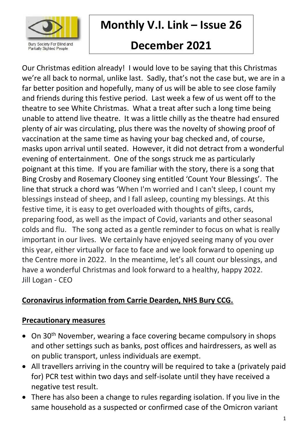

# **Monthly V.I. Link – Issue 26**

# **December 2021**

Our Christmas edition already! I would love to be saying that this Christmas we're all back to normal, unlike last. Sadly, that's not the case but, we are in a far better position and hopefully, many of us will be able to see close family and friends during this festive period. Last week a few of us went off to the theatre to see White Christmas. What a treat after such a long time being unable to attend live theatre. It was a little chilly as the theatre had ensured plenty of air was circulating, plus there was the novelty of showing proof of vaccination at the same time as having your bag checked and, of course, masks upon arrival until seated. However, it did not detract from a wonderful evening of entertainment. One of the songs struck me as particularly poignant at this time. If you are familiar with the story, there is a song that Bing Crosby and Rosemary Clooney sing entitled 'Count Your Blessings'. The line that struck a chord was 'When I'm worried and I can't sleep, I count my blessings instead of sheep, and I fall asleep, counting my blessings. At this festive time, it is easy to get overloaded with thoughts of gifts, cards, preparing food, as well as the impact of Covid, variants and other seasonal colds and flu. The song acted as a gentle reminder to focus on what is really important in our lives. We certainly have enjoyed seeing many of you over this year, either virtually or face to face and we look forward to opening up the Centre more in 2022. In the meantime, let's all count our blessings, and have a wonderful Christmas and look forward to a healthy, happy 2022. Jill Logan - CEO

## **Coronavirus information from Carrie Dearden, NHS Bury CCG.**

## **Precautionary measures**

- On 30<sup>th</sup> November, wearing a face covering became compulsory in shops and other settings such as banks, post offices and hairdressers, as well as on public transport, unless individuals are exempt.
- All travellers arriving in the country will be required to take a (privately paid for) PCR test within two days and self-isolate until they have received a negative test result.
- There has also been a change to rules regarding isolation. If you live in the same household as a suspected or confirmed case of the Omicron variant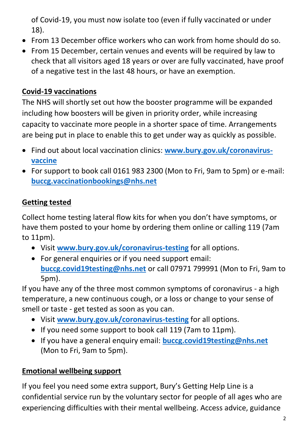of Covid-19, you must now isolate too (even if fully vaccinated or under 18).

- From 13 December office workers who can work from home should do so.
- From 15 December, certain venues and events will be required by law to check that all visitors aged 18 years or over are fully vaccinated, have proof of a negative test in the last 48 hours, or have an exemption.

## **Covid-19 vaccinations**

The NHS will shortly set out how the booster programme will be expanded including how boosters will be given in priority order, while increasing capacity to vaccinate more people in a shorter space of time. Arrangements are being put in place to enable this to get under way as quickly as possible.

- Find out about local vaccination clinics: **[www.bury.gov.uk/coronavirus](http://www.bury.gov.uk/coronavirus-vaccine)[vaccine](http://www.bury.gov.uk/coronavirus-vaccine)**
- For support to book call 0161 983 2300 (Mon to Fri, 9am to 5pm) or e-mail: **[buccg.vaccinationbookings@nhs.net](mailto:buccg.vaccinationbookings@nhs.net)**

## **Getting tested**

Collect home testing lateral flow kits for when you don't have symptoms, or have them posted to your home by ordering them online or calling 119 (7am to 11pm).

- Visit **[www.bury.gov.uk/coronavirus-testing](http://www.bury.gov.uk/coronavirus-testing)** for all options.
- For general enquiries or if you need support email: **[buccg.covid19testing@nhs.net](mailto:buccg.covid19testing@nhs.net)** or call 07971 799991 (Mon to Fri, 9am to 5pm).

If you have any of the three most common symptoms of coronavirus - a high temperature, a new continuous cough, or a loss or change to your sense of smell or taste - get tested as soon as you can.

- Visit **[www.bury.gov.uk/coronavirus-testing](http://www.bury.gov.uk/coronavirus-testing)** for all options.
- If you need some support to book call 119 (7am to 11pm).
- If you have a general enquiry email: **[buccg.covid19testing@nhs.net](mailto:buccg.covid19testing@nhs.net)** (Mon to Fri, 9am to 5pm).

## **Emotional wellbeing support**

If you feel you need some extra support, Bury's Getting Help Line is a confidential service run by the voluntary sector for people of all ages who are experiencing difficulties with their mental wellbeing. Access advice, guidance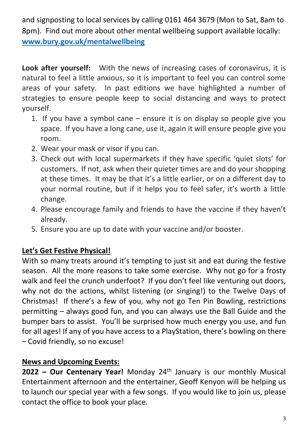and signposting to local services by calling 0161 464 3679 (Mon to Sat, 8am to 8pm). Find out more about other mental wellbeing support available locally: **[www.bury.gov.uk/mentalwellbeing](http://www.bury.gov.uk/mentalwellbeing)**

**Look after yourself:** With the news of increasing cases of coronavirus, it is natural to feel a little anxious, so it is important to feel you can control some areas of your safety. In past editions we have highlighted a number of strategies to ensure people keep to social distancing and ways to protect yourself.

- 1. If you have a symbol cane ensure it is on display so people give you space. If you have a long cane, use it, again it will ensure people give you room.
- 2. Wear your mask or visor if you can.
- 3. Check out with local supermarkets if they have specific 'quiet slots' for customers. If not, ask when their quieter times are and do your shopping at these times. It may be that it's a little earlier, or on a different day to your normal routine, but if it helps you to feel safer, it's worth a little change.
- 4. Please encourage family and friends to have the vaccine if they haven't already.
- 5. Ensure you are up to date with your vaccine and/or booster.

## **Let's Get Festive Physical!**

With so many treats around it's tempting to just sit and eat during the festive season. All the more reasons to take some exercise. Why not go for a frosty walk and feel the crunch underfoot? If you don't feel like venturing out doors, why not do the actions, whilst listening (or singing!) to the Twelve Days of Christmas! If there's a few of you, why not go Ten Pin Bowling, restrictions permitting – always good fun, and you can always use the Ball Guide and the bumper bars to assist. You'll be surprised how much energy you use, and fun for all ages! If any of you have access to a PlayStation, there's bowling on there – Covid friendly, so no excuse!

## **News and Upcoming Events:**

**2022 – Our Centenary Year!** Monday 24th January is our monthly Musical Entertainment afternoon and the entertainer, Geoff Kenyon will be helping us to launch our special year with a few songs.If you would like to join us, please contact the office to book your place.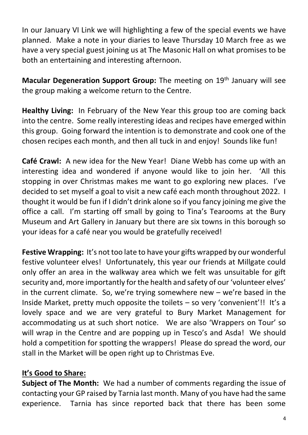In our January VI Link we will highlighting a few of the special events we have planned. Make a note in your diaries to leave Thursday 10 March free as we have a very special guest joining us at The Masonic Hall on what promises to be both an entertaining and interesting afternoon.

**Macular Degeneration Support Group:** The meeting on 19th January will see the group making a welcome return to the Centre.

**Healthy Living:** In February of the New Year this group too are coming back into the centre. Some really interesting ideas and recipes have emerged within this group. Going forward the intention is to demonstrate and cook one of the chosen recipes each month, and then all tuck in and enjoy! Sounds like fun!

**Café Crawl:** A new idea for the New Year! Diane Webb has come up with an interesting idea and wondered if anyone would like to join her. 'All this stopping in over Christmas makes me want to go exploring new places. I've decided to set myself a goal to visit a new café each month throughout 2022. I thought it would be fun if I didn't drink alone so if you fancy joining me give the office a call. I'm starting off small by going to Tina's Tearooms at the Bury Museum and Art Gallery in January but there are six towns in this borough so your ideas for a café near you would be gratefully received!

Festive Wrapping: It's not too late to have your gifts wrapped by our wonderful festive volunteer elves! Unfortunately, this year our friends at Millgate could only offer an area in the walkway area which we felt was unsuitable for gift security and, more importantly for the health and safety of our 'volunteer elves' in the current climate. So, we're trying somewhere new – we're based in the Inside Market, pretty much opposite the toilets – so very 'convenient'!! It's a lovely space and we are very grateful to Bury Market Management for accommodating us at such short notice. We are also 'Wrappers on Tour' so will wrap in the Centre and are popping up in Tesco's and Asda! We should hold a competition for spotting the wrappers! Please do spread the word, our stall in the Market will be open right up to Christmas Eve.

#### **It's Good to Share:**

**Subject of The Month:** We had a number of comments regarding the issue of contacting your GP raised by Tarnia last month. Many of you have had the same experience. Tarnia has since reported back that there has been some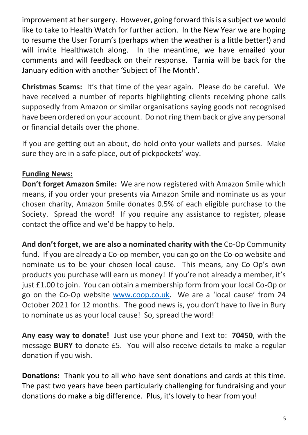improvement at her surgery. However, going forward this is a subject we would like to take to Health Watch for further action. In the New Year we are hoping to resume the User Forum's (perhaps when the weather is a little better!) and will invite Healthwatch along. In the meantime, we have emailed your comments and will feedback on their response. Tarnia will be back for the January edition with another 'Subject of The Month'.

**Christmas Scams:** It's that time of the year again. Please do be careful. We have received a number of reports highlighting clients receiving phone calls supposedly from Amazon or similar organisations saying goods not recognised have been ordered on your account. Do not ring them back or give any personal or financial details over the phone.

If you are getting out an about, do hold onto your wallets and purses. Make sure they are in a safe place, out of pickpockets' way.

#### **Funding News:**

**Don't forget Amazon Smile:** We are now registered with Amazon Smile which means, if you order your presents via Amazon Smile and nominate us as your chosen charity, Amazon Smile donates 0.5% of each eligible purchase to the Society. Spread the word! If you require any assistance to register, please contact the office and we'd be happy to help.

**And don't forget, we are also a nominated charity with the** Co-Op Community fund. If you are already a Co-op member, you can go on the Co-op website and nominate us to be your chosen local cause. This means, any Co-Op's own products you purchase will earn us money! If you're not already a member, it's just £1.00 to join. You can obtain a membership form from your local Co-Op or go on the Co-Op website [www.coop.co.uk](http://www.coop.co.uk/). We are a 'local cause' from 24 October 2021 for 12 months. The good news is, you don't have to live in Bury to nominate us as your local cause! So, spread the word!

**Any easy way to donate!** Just use your phone and Text to: **70450**, with the message **BURY** to donate £5. You will also receive details to make a regular donation if you wish.

**Donations:** Thank you to all who have sent donations and cards at this time. The past two years have been particularly challenging for fundraising and your donations do make a big difference. Plus, it's lovely to hear from you!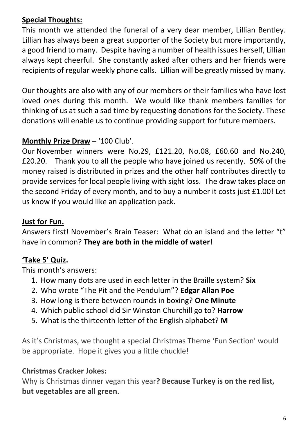### **Special Thoughts:**

This month we attended the funeral of a very dear member, Lillian Bentley. Lillian has always been a great supporter of the Society but more importantly, a good friend to many. Despite having a number of health issues herself, Lillian always kept cheerful. She constantly asked after others and her friends were recipients of regular weekly phone calls. Lillian will be greatly missed by many.

Our thoughts are also with any of our members or their families who have lost loved ones during this month. We would like thank members families for thinking of us at such a sad time by requesting donations for the Society. These donations will enable us to continue providing support for future members.

### **Monthly Prize Draw - '100 Club'.**

Our November winners were No.29, £121.20, No.08, £60.60 and No.240, £20.20. Thank you to all the people who have joined us recently. 50% of the money raised is distributed in prizes and the other half contributes directly to provide services for local people living with sight loss. The draw takes place on the second Friday of every month, and to buy a number it costs just £1.00! Let us know if you would like an application pack.

#### **Just for Fun.**

Answers first! November's Brain Teaser: What do an island and the letter "t" have in common? **They are both in the middle of water!**

#### **'Take 5' Quiz.**

This month's answers:

- 1. How many dots are used in each letter in the Braille system? **Six**
- 2. Who wrote "The Pit and the Pendulum"? **Edgar Allan Poe**
- 3. How long is there between rounds in boxing? **One Minute**
- 4. Which public school did Sir Winston Churchill go to? **Harrow**
- 5. What is the thirteenth letter of the English alphabet? **M**

As it's Christmas, we thought a special Christmas Theme 'Fun Section' would be appropriate. Hope it gives you a little chuckle!

#### **Christmas Cracker Jokes:**

Why is Christmas dinner vegan this year**? Because Turkey is on the red list, but vegetables are all green.**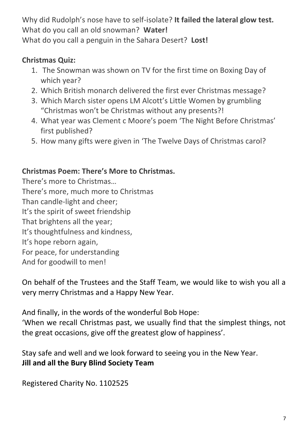Why did Rudolph's nose have to self-isolate? **It failed the lateral glow test.** What do you call an old snowman? **Water!** What do you call a penguin in the Sahara Desert? **Lost!**

### **Christmas Quiz:**

- 1. The Snowman was shown on TV for the first time on Boxing Day of which year?
- 2. Which British monarch delivered the first ever Christmas message?
- 3. Which March sister opens LM Alcott's Little Women by grumbling "Christmas won't be Christmas without any presents?!
- 4. What year was Clement c Moore's poem 'The Night Before Christmas' first published?
- 5. How many gifts were given in 'The Twelve Days of Christmas carol?

#### **Christmas Poem: There's More to Christmas.**

There's more to Christmas… There's more, much more to Christmas Than candle-light and cheer; It's the spirit of sweet friendship That brightens all the year; It's thoughtfulness and kindness, It's hope reborn again, For peace, for understanding And for goodwill to men!

On behalf of the Trustees and the Staff Team, we would like to wish you all a very merry Christmas and a Happy New Year.

And finally, in the words of the wonderful Bob Hope:

'When we recall Christmas past, we usually find that the simplest things, not the great occasions, give off the greatest glow of happiness'.

Stay safe and well and we look forward to seeing you in the New Year. **Jill and all the Bury Blind Society Team**

Registered Charity No. 1102525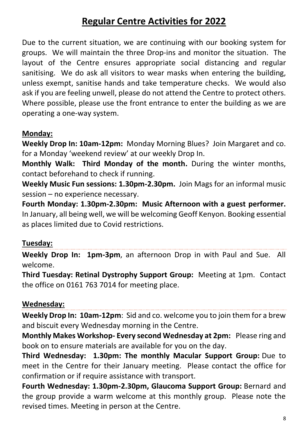## **Regular Centre Activities for 2022**

Due to the current situation, we are continuing with our booking system for groups. We will maintain the three Drop-ins and monitor the situation. The layout of the Centre ensures appropriate social distancing and regular sanitising. We do ask all visitors to wear masks when entering the building, unless exempt, sanitise hands and take temperature checks. We would also ask if you are feeling unwell, please do not attend the Centre to protect others. Where possible, please use the front entrance to enter the building as we are operating a one-way system.

### **Monday:**

**Weekly Drop In: 10am-12pm:** Monday Morning Blues? Join Margaret and co. for a Monday 'weekend review' at our weekly Drop In.

**Monthly Walk: Third Monday of the month.** During the winter months, contact beforehand to check if running.

**Weekly Music Fun sessions: 1.30pm-2.30pm.** Join Mags for an informal music session – no experience necessary.

**Fourth Monday: 1.30pm-2.30pm: Music Afternoon with a guest performer.**  In January, all being well, we will be welcoming Geoff Kenyon. Booking essential as places limited due to Covid restrictions.

#### **Tuesday:**

**Weekly Drop In: 1pm-3pm**, an afternoon Drop in with Paul and Sue. All welcome.

**Third Tuesday: Retinal Dystrophy Support Group:** Meeting at 1pm. Contact the office on 0161 763 7014 for meeting place.

#### **Wednesday:**

**Weekly Drop In: 10am-12pm**: Sid and co. welcome you to join them for a brew and biscuit every Wednesday morning in the Centre.

**Monthly Makes Workshop- Every second Wednesday at 2pm:** Please ring and book on to ensure materials are available for you on the day.

**Third Wednesday: 1.30pm: The monthly Macular Support Group:** Due to meet in the Centre for their January meeting. Please contact the office for confirmation or if require assistance with transport.

**Fourth Wednesday: 1.30pm-2.30pm, Glaucoma Support Group:** Bernard and the group provide a warm welcome at this monthly group. Please note the revised times. Meeting in person at the Centre.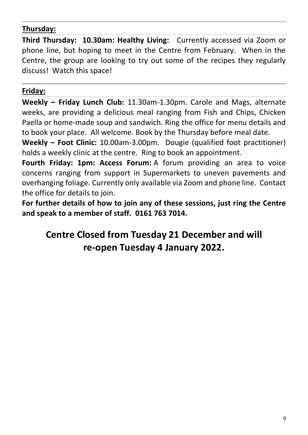#### **Thursday:**

**Third Thursday: 10.30am: Healthy Living:** Currently accessed via Zoom or phone line, but hoping to meet in the Centre from February. When in the Centre, the group are looking to try out some of the recipes they regularly discuss! Watch this space!

#### **Friday:**

**Weekly – Friday Lunch Club:** 11.30am-1.30pm. Carole and Mags, alternate weeks, are providing a delicious meal ranging from Fish and Chips, Chicken Paella or home-made soup and sandwich. Ring the office for menu details and to book your place. All welcome. Book by the Thursday before meal date.

**Weekly – Foot Clinic:** 10.00am-3.00pm. Dougie (qualified foot practitioner) holds a weekly clinic at the centre. Ring to book an appointment.

**Fourth Friday: 1pm: Access Forum:** A forum providing an area to voice concerns ranging from support in Supermarkets to uneven pavements and overhanging foliage. Currently only available via Zoom and phone line. Contact the office for details to join.

**For further details of how to join any of these sessions, just ring the Centre and speak to a member of staff. 0161 763 7014.**

## **Centre Closed from Tuesday 21 December and will re-open Tuesday 4 January 2022.**